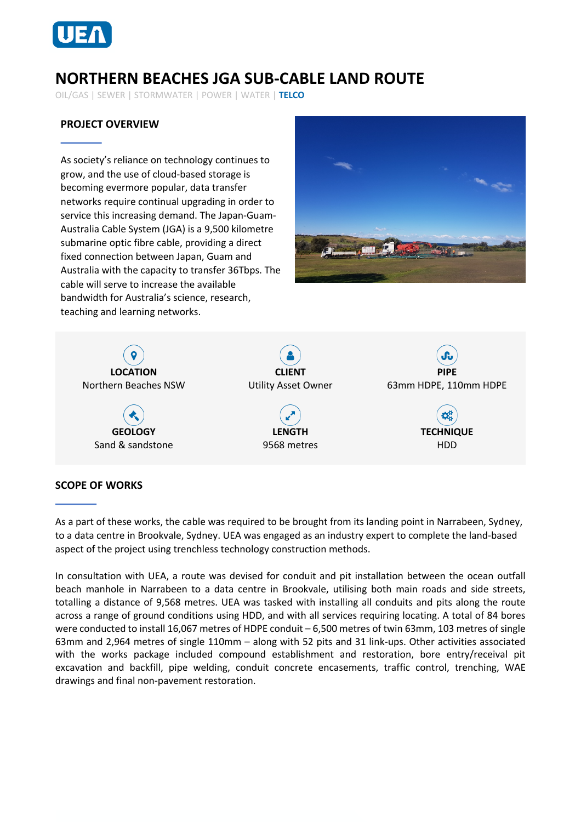

# **NORTHERN BEACHES JGA SUB-CABLE LAND ROUTE**

OIL/GAS | SEWER | STORMWATER | POWER | WATER | **TELCO**

# **PROJECT OVERVIEW**

As society's reliance on technology continues to grow, and the use of cloud-based storage is becoming evermore popular, data transfer networks require continual upgrading in order to service this increasing demand. The Japan-Guam-Australia Cable System (JGA) is a 9,500 kilometre submarine optic fibre cable, providing a direct fixed connection between Japan, Guam and Australia with the capacity to transfer 36Tbps. The cable will serve to increase the available bandwidth for Australia's science, research, teaching and learning networks.





### **SCOPE OF WORKS**

As a part of these works, the cable was required to be brought from its landing point in Narrabeen, Sydney, to a data centre in Brookvale, Sydney. UEA was engaged as an industry expert to complete the land-based aspect of the project using trenchless technology construction methods.

In consultation with UEA, a route was devised for conduit and pit installation between the ocean outfall beach manhole in Narrabeen to a data centre in Brookvale, utilising both main roads and side streets, totalling a distance of 9,568 metres. UEA was tasked with installing all conduits and pits along the route across a range of ground conditions using HDD, and with all services requiring locating. A total of 84 bores were conducted to install 16,067 metres of HDPE conduit – 6,500 metres of twin 63mm, 103 metres of single 63mm and 2,964 metres of single 110mm – along with 52 pits and 31 link-ups. Other activities associated with the works package included compound establishment and restoration, bore entry/receival pit excavation and backfill, pipe welding, conduit concrete encasements, traffic control, trenching, WAE drawings and final non-pavement restoration.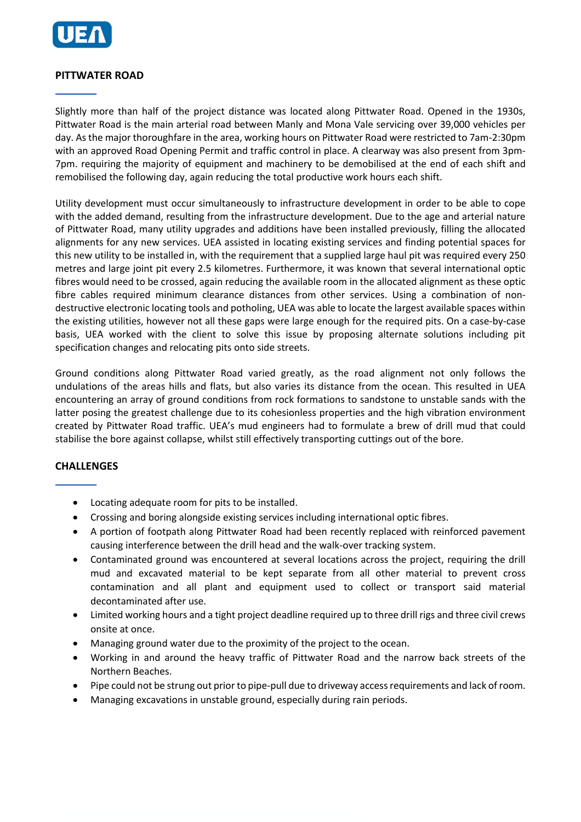

## **PITTWATER ROAD**

Slightly more than half of the project distance was located along Pittwater Road. Opened in the 1930s, Pittwater Road is the main arterial road between Manly and Mona Vale servicing over 39,000 vehicles per day. As the major thoroughfare in the area, working hours on Pittwater Road were restricted to 7am-2:30pm with an approved Road Opening Permit and traffic control in place. A clearway was also present from 3pm-7pm. requiring the majority of equipment and machinery to be demobilised at the end of each shift and remobilised the following day, again reducing the total productive work hours each shift.

Utility development must occur simultaneously to infrastructure development in order to be able to cope with the added demand, resulting from the infrastructure development. Due to the age and arterial nature of Pittwater Road, many utility upgrades and additions have been installed previously, filling the allocated alignments for any new services. UEA assisted in locating existing services and finding potential spaces for this new utility to be installed in, with the requirement that a supplied large haul pit was required every 250 metres and large joint pit every 2.5 kilometres. Furthermore, it was known that several international optic fibres would need to be crossed, again reducing the available room in the allocated alignment as these optic fibre cables required minimum clearance distances from other services. Using a combination of nondestructive electronic locating tools and potholing, UEA was able to locate the largest available spaces within the existing utilities, however not all these gaps were large enough for the required pits. On a case-by-case basis, UEA worked with the client to solve this issue by proposing alternate solutions including pit specification changes and relocating pits onto side streets.

Ground conditions along Pittwater Road varied greatly, as the road alignment not only follows the undulations of the areas hills and flats, but also varies its distance from the ocean. This resulted in UEA encountering an array of ground conditions from rock formations to sandstone to unstable sands with the latter posing the greatest challenge due to its cohesionless properties and the high vibration environment created by Pittwater Road traffic. UEA's mud engineers had to formulate a brew of drill mud that could stabilise the bore against collapse, whilst still effectively transporting cuttings out of the bore.

#### **CHALLENGES**

- Locating adequate room for pits to be installed.
- Crossing and boring alongside existing services including international optic fibres.
- A portion of footpath along Pittwater Road had been recently replaced with reinforced pavement causing interference between the drill head and the walk-over tracking system.
- Contaminated ground was encountered at several locations across the project, requiring the drill mud and excavated material to be kept separate from all other material to prevent cross contamination and all plant and equipment used to collect or transport said material decontaminated after use.
- Limited working hours and a tight project deadline required up to three drill rigs and three civil crews onsite at once.
- Managing ground water due to the proximity of the project to the ocean.
- Working in and around the heavy traffic of Pittwater Road and the narrow back streets of the Northern Beaches.
- Pipe could not be strung out prior to pipe-pull due to driveway access requirements and lack of room.
- Managing excavations in unstable ground, especially during rain periods.